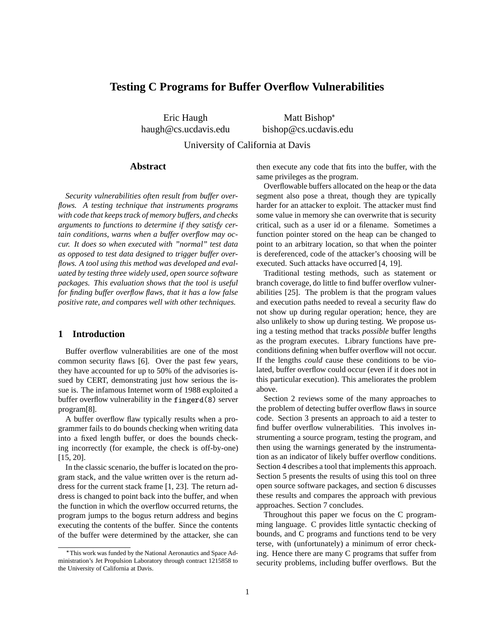# **Testing C Programs for Buffer Overflow Vulnerabilities**

Eric Haugh haugh@cs.ucdavis.edu

Matt Bishop\* bishop@cs.ucdavis.edu

University of California at Davis

#### **Abstract**

*Security vulnerabilities often result from buffer overflows. A testing technique that instruments programs with code that keeps track of memory buffers, and checks arguments to functions to determine if they satisfy certain conditions, warns when a buffer overflow may occur. It does so when executed with "normal" test data as opposed to test data designed to trigger buffer overflows. A tool using this method was developed and evaluated by testing three widely used, open source software packages. This evaluation shows that the tool is useful for finding buffer overflow flaws, that it has a low false positive rate, and compares well with other techniques.*

## **1 Introduction**

Buffer overflow vulnerabilities are one of the most common security flaws [6]. Over the past few years, they have accounted for up to 50% of the advisories issued by CERT, demonstrating just how serious the issue is. The infamous Internet worm of 1988 exploited a buffer overflow vulnerability in the fingerd (8) server program[8].

A buffer overflow flaw typically results when a programmer fails to do bounds checking when writing data into a fixed length buffer, or does the bounds checking incorrectly (for example, the check is off-by-one) [15, 20].

In the classic scenario, the buffer is located on the program stack, and the value written over is the return address for the current stack frame [1, 23]. The return address is changed to point back into the buffer, and when the function in which the overflow occurred returns, the program jumps to the bogus return address and begins executing the contents of the buffer. Since the contents of the buffer were determined by the attacker, she can then execute any code that fits into the buffer, with the same privileges as the program.

Overflowable buffers allocated on the heap or the data segment also pose a threat, though they are typically harder for an attacker to exploit. The attacker must find some value in memory she can overwrite that is security critical, such as a user id or a filename. Sometimes a function pointer stored on the heap can be changed to point to an arbitrary location, so that when the pointer is dereferenced, code of the attacker's choosing will be executed. Such attacks have occurred [4, 19].

Traditional testing methods, such as statement or branch coverage, do little to find buffer overflow vulnerabilities [25]. The problem is that the program values and execution paths needed to reveal a security flaw do not show up during regular operation; hence, they are also unlikely to show up during testing. We propose using a testing method that tracks *possible* buffer lengths as the program executes. Library functions have preconditions defining when buffer overflow will not occur. If the lengths *could* cause these conditions to be violated, buffer overflow could occur (even if it does not in this particular execution). This ameliorates the problem above.

Section 2 reviews some of the many approaches to the problem of detecting buffer overflow flaws in source code. Section 3 presents an approach to aid a tester to find buffer overflow vulnerabilities. This involves instrumenting a source program, testing the program, and then using the warnings generated by the instrumentation as an indicator of likely buffer overflow conditions. Section 4 describes a tool that implements this approach. Section 5 presents the results of using this tool on three open source software packages, and section 6 discusses these results and compares the approach with previous approaches. Section 7 concludes.

Throughout this paper we focus on the C programming language. C provides little syntactic checking of bounds, and C programs and functions tend to be very terse, with (unfortunately) a minimum of error checking. Hence there are many C programs that suffer from security problems, including buffer overflows. But the

This work was funded by the National Aeronautics and Space Administration's Jet Propulsion Laboratory through contract 1215858 to the University of California at Davis.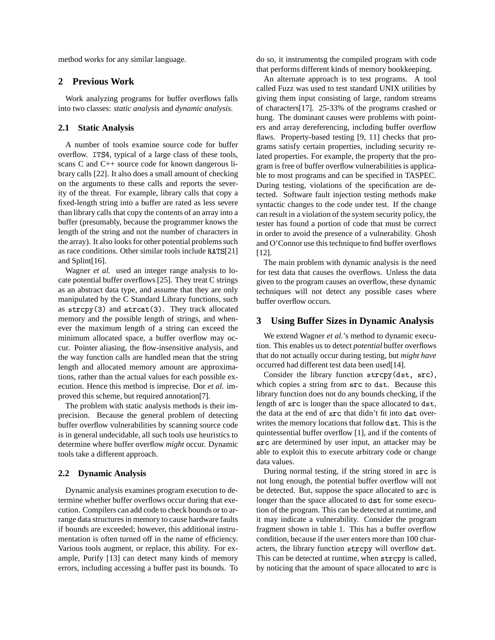method works for any similar language.

## **2 Previous Work**

Work analyzing programs for buffer overflows falls into two classes: *static analysis* and *dynamic analysis*.

## **2.1 Static Analysis**

A number of tools examine source code for buffer overflow. ITS4, typical of a large class of these tools, scans C and C++ source code for known dangerous library calls [22]. It also does a small amount of checking on the arguments to these calls and reports the severity of the threat. For example, library calls that copy a fixed-length string into a buffer are rated as less severe than library calls that copy the contents of an array into a buffer (presumably, because the programmer knows the length of the string and not the number of characters in the array). It also looks for other potential problems such as race conditions. Other similar tools include  $RATS[21]$ and Splint[16].

Wagner *et al.* used an integer range analysis to locate potential buffer overflows [25]. They treat C strings as an abstract data type, and assume that they are only manipulated by the C Standard Library functions, such as  $\text{strcpy}(3)$  and  $\text{strcat}(3)$ . They track allocated memory and the possible length of strings, and whenever the maximum length of a string can exceed the minimum allocated space, a buffer overflow may occur. Pointer aliasing, the flow-insensitive analysis, and the way function calls are handled mean that the string length and allocated memory amount are approximations, rather than the actual values for each possible execution. Hence this method is imprecise. Dor *et al.* improved this scheme, but required annotation[7].

The problem with static analysis methods is their imprecision. Because the general problem of detecting buffer overflow vulnerabilities by scanning source code is in general undecidable, all such tools use heuristics to determine where buffer overflow *might* occur. Dynamic tools take a different approach.

#### **2.2 Dynamic Analysis**

Dynamic analysis examines program execution to determine whether buffer overflows occur during that execution. Compilers can add code to check bounds or to arrange data structures in memory to cause hardware faults if bounds are exceeded; however, this additional instrumentation is often turned off in the name of efficiency. Various tools augment, or replace, this ability. For example, Purify [13] can detect many kinds of memory errors, including accessing a buffer past its bounds. To do so, it instrumentsg the compiled program with code that performs different kinds of memory bookkeeping.

An alternate approach is to test programs. A tool called Fuzz was used to test standard UNIX utilities by giving them input consisting of large, random streams of characters[17]. 25-33% of the programs crashed or hung. The dominant causes were problems with pointers and array dereferencing, including buffer overflow flaws. Property-based testing [9, 11] checks that programs satisfy certain properties, including security related properties. For example, the property that the program is free of buffer overflow vulnerabilities is applicable to most programs and can be specified in TASPEC. During testing, violations of the specification are detected. Software fault injection testing methods make syntactic changes to the code under test. If the change can result in a violation of the system security policy, the tester has found a portion of code that must be correct in order to avoid the presence of a vulnerability. Ghosh and O'Connor use this technique to find buffer overflows [12].

The main problem with dynamic analysis is the need for test data that causes the overflows. Unless the data given to the program causes an overflow, these dynamic techniques will not detect any possible cases where buffer overflow occurs.

## **3 Using Buffer Sizes in Dynamic Analysis**

We extend Wagner *et al.*'s method to dynamic execution. This enables us to detect *potential* buffer overflows that do not actually occur during testing, but *might have* occurred had different test data been used[14].

Consider the library function strcpy(dst, src), which copies a string from src to dst. Because this library function does not do any bounds checking, if the length of src is longer than the space allocated to dst, the data at the end of src that didn't fit into dst overwrites the memory locations that follow dst. This is the quintessential buffer overflow [1], and if the contents of are determined by user input, an attacker may be able to exploit this to execute arbitrary code or change data values.

During normal testing, if the string stored in src is not long enough, the potential buffer overflow will not be detected. But, suppose the space allocated to src is longer than the space allocated to dst for some execution of the program. This can be detected at runtime, and it may indicate a vulnerability. Consider the program fragment shown in table 1. This has a buffer overflow condition, because if the user enters more than 100 characters, the library function strcpy will overflow dst. This can be detected at runtime, when strcpy is called, by noticing that the amount of space allocated to src is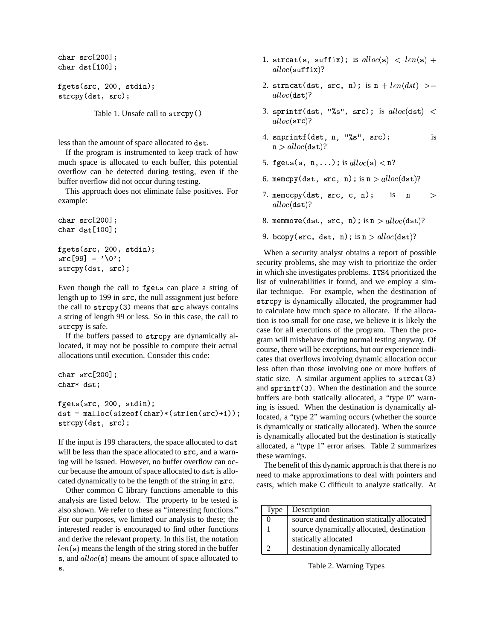```
char src[200]
char dst[100];
```

```
fgets(src. 200. stdin):
strcpy(dst, src);
```
Table 1. Unsafe call to  - 

less than the amount of space allocated to dst.

If the program is instrumented to keep track of how much space is allocated to each buffer, this potential overflow can be detected during testing, even if the buffer overflow did not occur during testing.

This approach does not eliminate false positives. For example:

```
char src[200]
char dst[100];
fgets(src. 200. stdin):
src[99] = '\0'
strcpy(dst, src);
```
Even though the call to fgets can place a string of length up to 199 in src, the null assignment just before the call to strcpy (3) means that src always contains a string of length 99 or less. So in this case, the call to strcpy is safe.

If the buffers passed to strcpy are dynamically allocated, it may not be possible to compute their actual allocations until execution. Consider this code:

```
char src[200]
char* dst;
fgets(src. 200. stdin):
dst = malloc(sizeof(char)*(strlen(src)+1));
strcpy(dst, src);
```
If the input is 199 characters, the space allocated to dst will be less than the space allocated to src, and a warning will be issued. However, no buffer overflow can occur because the amount of space allocated to dst is allocated dynamically to be the length of the string in .

Other common C library functions amenable to this analysis are listed below. The property to be tested is also shown. We refer to these as "interesting functions." For our purposes, we limited our analysis to these; the interested reader is encouraged to find other functions and derive the relevant property. In this list, the notation  $len(s)$  means the length of the string stored in the buffer s, and  $alloc(s)$  means the amount of space allocated to .

- 1. strcat(s, suffix); is  $alloc(s) < len(s) +$  $alloc({\tt suffix})?$
- 2. strncat(dst, src, n); is  $n + len (dst)$   $>=$  $alloc(\texttt{dst})?$
- 3. sprintf(dst, "%s", src); is  $alloc(\text{dst})$   $\lt$  $alloc(\texttt{src}) ?$
- 4. snprintf(dst, n, "%s", src); is  ${\tt n}>alloc({\tt dst})?$
- 5. fgets(s, n,...); is  $alloc(\mathbf{s}) < \mathtt{n}$ ?
- 6. memcpy(dst, src, n); is  ${\tt n}>alloc({\tt dst})$ ?
- 7. memccpy(dst, src, c, n); is  $is \t n >$  $alloc(\texttt{dst})?$
- 8. memmove(dst, src, n); is  ${\tt n}>alloc({\tt dst})$ ?
- 9. bcopy(src, dst, n); is  ${\tt n}>alloc({\tt dst})$ ?

s<sup>u</sup> allocated, a "type 1" error arises. Table 2 summarizes When a security analyst obtains a report of possible security problems, she may wish to prioritize the order in which she investigates problems. ITS4 prioritized the list of vulnerabilities it found, and we employ a similar technique. For example, when the destination of strcpy is dynamically allocated, the programmer had to calculate how much space to allocate. If the allocation is too small for one case, we believe it is likely the case for all executions of the program. Then the program will misbehave during normal testing anyway. Of course, there will be exceptions, but our experience indicates that overflows involving dynamic allocation occur less often than those involving one or more buffers of static size. A similar argument applies to strcat(3) and sprintf (3). When the destination and the source buffers are both statically allocated, a "type 0" warning is issued. When the destination is dynamically allocated, a "type 2" warning occurs (whether the source is dynamically or statically allocated). When the source is dynamically allocated but the destination is statically these warnings.

> The benefit of this dynamic approach is that there is no need to make approximations to deal with pointers and casts, which make C difficult to analyze statically. At

| Type | Description                                 |
|------|---------------------------------------------|
|      | source and destination statically allocated |
|      | source dynamically allocated, destination   |
|      | statically allocated                        |
|      | destination dynamically allocated           |

Table 2. Warning Types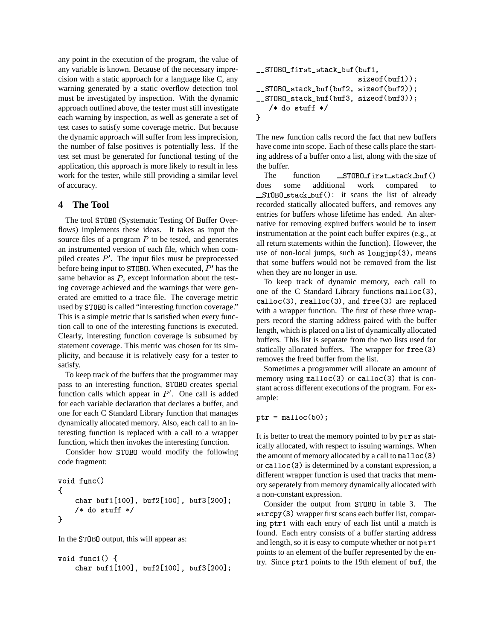any point in the execution of the program, the value of any variable is known. Because of the necessary imprecision with a static approach for a language like C, any warning generated by a static overflow detection tool must be investigated by inspection. With the dynamic approach outlined above, the tester must still investigate each warning by inspection, as well as generate a set of test cases to satisfy some coverage metric. But because the dynamic approach will suffer from less imprecision, the number of false positives is potentially less. If the test set must be generated for functional testing of the application, this approach is more likely to result in less work for the tester, while still providing a similar level of accuracy.

## **4 The Tool**

The tool ST0B0 (Systematic Testing Of Buffer Overflows) implements these ideas. It takes as input the source files of a program  $P$  to be tested, and generates an instrumented version of each file, which when compiled creates  $P'$ . The input files must be preprocessed before being input to ST0B0. When executed,  $P'$  has the same behavior as  $P$ , except information about the testing coverage achieved and the warnings that were generated are emitted to a trace file. The coverage metric used by ST0B0 is called "interesting function coverage." This is a simple metric that is satisfied when every function call to one of the interesting functions is executed. Clearly, interesting function coverage is subsumed by statement coverage. This metric was chosen for its simplicity, and because it is relatively easy for a tester to satisfy.

To keep track of the buffers that the programmer may pass to an interesting function, ST0B0 creates special function calls which appear in  $P'$ . One call is added for each variable declaration that declares a buffer, and one for each C Standard Library function that manages dynamically allocated memory. Also, each call to an interesting function is replaced with a call to a wrapper function, which then invokes the interesting function.

Consider how ST0B0 would modify the following code fragment:

```
void func()
ſ
    char buf1[100]. buf2[100]. buf3[200]:
    /* do stuff */
\mathcal{L}
```
In the ST0B0 output, this will appear as:

```
void func1() {
   char buf1[100]. buf2[100]. buf3[200]: -
```

```
__STOBO_first_stack_buf(buf1,
                       sizeof(buf1));
__STOBO_stack_buf(buf2, sizeof(buf2));
__STOBO_stack_buf(buf3, sizeof(buf3));
   /* do stuff */
\mathcal{F}
```
The new function calls record the fact that new buffers have come into scope. Each of these calls place the starting address of a buffer onto a list, along with the size of the buffer.

The function BO\_first\_stack\_buf() does some additional work compared to STOBO\_stack\_buf(): it scans the list of already recorded statically allocated buffers, and removes any entries for buffers whose lifetime has ended. An alternative for removing expired buffers would be to insert instrumentation at the point each buffer expires (e.g., at all return statements within the function). However, the use of non-local jumps, such as  $\text{longimp}(3)$ , means that some buffers would not be removed from the list when they are no longer in use.

To keep track of dynamic memory, each call to one of the C Standard Library functions  $m$ alloc(3), calloc(3), realloc(3), and free(3) are replaced with a wrapper function. The first of these three wrappers record the starting address paired with the buffer length, which is placed on a list of dynamically allocated buffers. This list is separate from the two lists used for statically allocated buffers. The wrapper for free(3) removes the freed buffer from the list.

Sometimes a programmer will allocate an amount of memory using  $m$ alloc $(3)$  or calloc $(3)$  that is constant across different executions of the program. For example:

 $\texttt{ptr}$  = malloc(50):

It is better to treat the memory pointed to by ptr as statically allocated, with respect to issuing warnings. When the amount of memory allocated by a call to malloc (3) or calloc(3) is determined by a constant expression, a different wrapper function is used that tracks that memory seperately from memory dynamically allocated with a non-constant expression.

Consider the output from ST0B0 in table 3. The strcpy (3) wrapper first scans each buffer list, comparing ptr1 with each entry of each list until a match is found. Each entry consists of a buffer starting address and length, so it is easy to compute whether or not  $ptr1$ points to an element of the buffer represented by the entry. Since  $ptr1$  points to the 19th element of buf, the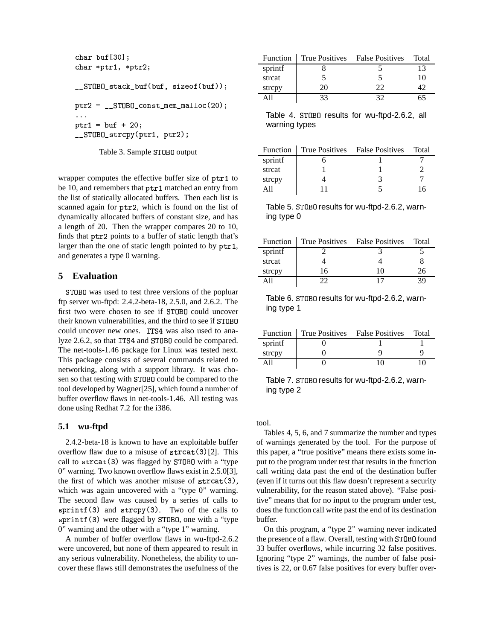```
char buf[30]:
char *ptr1. *ptr2:
__STOBO_stack_buf(buf, sizeof(buf));
ptr2 = __STOBO_const_mem_malloc(20);
\mathcal{L}{\tt ptr1} = {\tt buf} + 20:
__STOBO_strcpy(ptr1, ptr2);
```
Table 3. Sample ST0B0 output

wrapper computes the effective buffer size of  $ptr1$  to be 10, and remembers that  $ptr1$  matched an entry from the list of statically allocated buffers. Then each list is scanned again for ptr2, which is found on the list of dynamically allocated buffers of constant size, and has a length of 20. Then the wrapper compares 20 to 10, finds that ptr2 points to a buffer of static length that's larger than the one of static length pointed to by  $ptr1$ , , and generates a type 0 warning.

## **5 Evaluation**

STOBO was used to test three versions of the popluar ftp server wu-ftpd: 2.4.2-beta-18, 2.5.0, and 2.6.2. The first two were chosen to see if ST0B0 could uncover their known vulnerabilities, and the third to see if ST0B0 could uncover new ones. ITS4 was also used to analyze 2.6.2, so that ITS4 and ST0B0 could be compared. The net-tools-1.46 package for Linux was tested next. This package consists of several commands related to networking, along with a support library. It was chosen so that testing with ST0B0 could be compared to the tool developed by Wagner[25], which found a number of buffer overflow flaws in net-tools-1.46. All testing was done using Redhat 7.2 for the i386.

## **5.1 wu-ftpd**

2.4.2-beta-18 is known to have an exploitable buffer overflow flaw due to a misuse of  $strcat(3)[2]$ . This call to strcat(3) was flagged by STOBO with a "type 0" warning. Two known overflow flaws exist in 2.5.0[3], the first of which was another misuse of  $strcat(3)$ , which was again uncovered with a "type 0" warning. The second flaw was caused by a series of calls to  $sprint(3)$  and  $strcpy(3)$ . Two of the calls to sprintf (3) were flagged by STOBO, one with a "type 0" warning and the other with a "type 1" warning.

A number of buffer overflow flaws in wu-ftpd-2.6.2 were uncovered, but none of them appeared to result in any serious vulnerability. Nonetheless, the ability to uncover these flaws still demonstrates the usefulness of the

| <b>Function</b> |    | True Positives False Positives | Total |
|-----------------|----|--------------------------------|-------|
| sprintf         |    |                                |       |
| strcat          |    |                                | 10    |
| strepy          | 20 | つつ                             |       |
|                 |    |                                |       |

Table 4. ST0B0 results for wu-ftpd-2.6.2, all warning types

|         | Function True Positives False Positives | Total |
|---------|-----------------------------------------|-------|
| sprintf |                                         |       |
| strcat  |                                         |       |
| strepy  |                                         |       |
|         |                                         |       |

Table 5. ST0B0 results for wu-ftpd-2.6.2, warning type 0

|         | Function True Positives False Positives |    | Total |
|---------|-----------------------------------------|----|-------|
| sprintf |                                         |    |       |
| strcat  |                                         |    |       |
| strepy  | 16                                      | 10 | 26    |
|         | つつ                                      | 17 |       |
|         |                                         |    |       |

Table 6. ST0B0 results for wu-ftpd-2.6.2, warning type 1

|         | Function True Positives False Positives | Total |
|---------|-----------------------------------------|-------|
| sprintf |                                         |       |
| strepy  |                                         |       |
|         |                                         |       |

Table 7. ST0B0 results for wu-ftpd-2.6.2, warning type 2

tool.

Tables 4, 5, 6, and 7 summarize the number and types of warnings generated by the tool. For the purpose of this paper, a "true positive" means there exists some input to the program under test that results in the function call writing data past the end of the destination buffer (even if it turns out this flaw doesn't represent a security vulnerability, for the reason stated above). "False positive" means that for no input to the program under test, does the function call write past the end of its destination buffer.

On this program, a "type 2" warning never indicated the presence of a flaw. Overall, testing with ST0B0 found 33 buffer overflows, while incurring 32 false positives. Ignoring "type 2" warnings, the number of false positives is 22, or 0.67 false positives for every buffer over-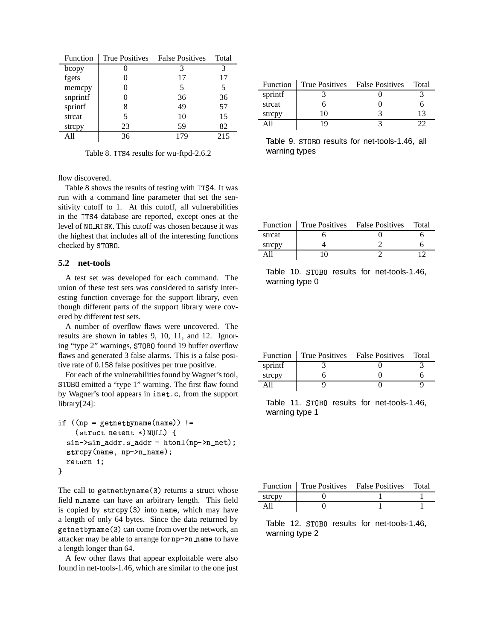| Function | <b>True Positives</b> | <b>False Positives</b> | Total |
|----------|-----------------------|------------------------|-------|
| bcopy    |                       | 3                      | 3     |
| fgets    |                       | 17                     | 17    |
| memcpy   |                       | 5                      | 5     |
| snprintf |                       | 36                     | 36    |
| sprintf  | 8                     | 49                     | 57    |
| strcat   | 5                     | 10                     | 15    |
| strepy   | 23                    | 59                     | 82    |
|          | 36                    | 17C                    | 215   |

Table 8. ITS4 results for wu-ftpd-2.6.2

flow discovered.

Table 8 shows the results of testing with ITS4. It was run with a command line parameter that set the sensitivity cutoff to 1. At this cutoff, all vulnerabilities in the ITS4 database are reported, except ones at the level of NO\_RISK. This cutoff was chosen because it was the highest that includes all of the interesting functions checked by STOBO.

#### **5.2 net-tools**

A test set was developed for each command. The union of these test sets was considered to satisfy interesting function coverage for the support library, even though different parts of the support library were covered by different test sets.

A number of overflow flaws were uncovered. The results are shown in tables 9, 10, 11, and 12. Ignoring "type 2" warnings, ST0B0 found 19 buffer overflow flaws and generated 3 false alarms. This is a false positive rate of 0.158 false positives per true positive.

For each of the vulnerabilities found by Wagner's tool, ST0B0 emitted a "type 1" warning. The first flaw found by Wagner's tool appears in inet.c, from the support library[24]:

```
if ((np = getnetbyname(name)) !=
   (struct netent *)NULL) {
  sin–>sin_addr.s_addr = htonl(np–>n_net);
  strcpy(name, np->n_name);
  return 1:
}
```
The call to getnetbyname (3) returns a struct whose field n\_name can have an arbitrary length. This field is copied by strcpy (3) into name, which may have a length of only 64 bytes. Since the data returned by getnetbyname(3) can come from over the network, an attacker may be able to arrange for  $np-\geq n\_name$  to have a length longer than 64.

A few other flaws that appear exploitable were also found in net-tools-1.46, which are similar to the one just

|         | Function True Positives False Positives | Total |
|---------|-----------------------------------------|-------|
| sprintf |                                         |       |
| strcat  |                                         |       |
| strepy  | 10                                      |       |
|         | 1 Q                                     |       |

Table 9. ST0B0 results for net-tools-1.46, all warning types

|        | Function   True Positives False Positives Total |  |
|--------|-------------------------------------------------|--|
| strcat |                                                 |  |
| strepy |                                                 |  |
|        |                                                 |  |

Table 10. ST0B0 results for net-tools-1.46, warning type 0

|         | Function True Positives False Positives | Total |
|---------|-----------------------------------------|-------|
| sprintf |                                         |       |
| strepy  |                                         |       |
|         |                                         |       |

Table 11. ST0B0 results for net-tools-1.46, warning type 1

|        | Function True Positives False Positives Total |  |
|--------|-----------------------------------------------|--|
| strepy |                                               |  |
| A11    |                                               |  |

Table 12. ST0B0 results for net-tools-1.46, warning type 2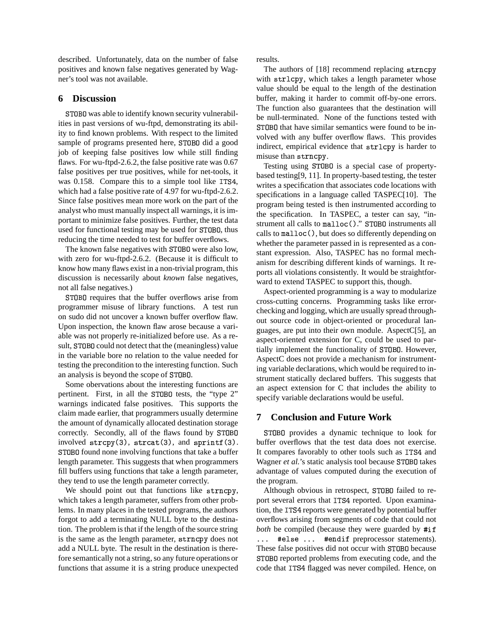described. Unfortunately, data on the number of false positives and known false negatives generated by Wagner's tool was not available.

## **6 Discussion**

ST0B0 was able to identify known security vulnerabilities in past versions of wu-ftpd, demonstrating its ability to find known problems. With respect to the limited sample of programs presented here, ST0B0 did a good job of keeping false positives low while still finding flaws. For wu-ftpd-2.6.2, the false positive rate was 0.67 false positives per true positives, while for net-tools, it was  $0.158$ . Compare this to a simple tool like  $ITS4$ , which had a false positive rate of 4.97 for wu-ftpd-2.6.2. Since false positives mean more work on the part of the analyst who must manually inspect all warnings, it is important to minimize false positives. Further, the test data used for functional testing may be used for ST0B0, thus reducing the time needed to test for buffer overflows.

The known false negatives with ST0B0 were also low, with zero for wu-ftpd-2.6.2. (Because it is difficult to know how many flaws exist in a non-trivial program, this discussion is necessarily about *known* false negatives, not all false negatives.)

ST0B0 requires that the buffer overflows arise from programmer misuse of library functions. A test run on sudo did not uncover a known buffer overflow flaw. Upon inspection, the known flaw arose because a variable was not properly re-initialized before use. As a result, ST0B0 could not detect that the (meaningless) value in the variable bore no relation to the value needed for testing the precondition to the interesting function. Such an analysis is beyond the scope of ST0B0.

Some obervations about the interesting functions are pertinent. First, in all the STOBO tests, the "type 2" warnings indicated false positives. This supports the claim made earlier, that programmers usually determine the amount of dynamically allocated destination storage correctly. Secondly, all of the flaws found by STOBO S involved  $\text{strcpy}(3)$ ,  $\text{strcat}(3)$ , and  $\text{sprint}(3)$ . ST0B0 found none involving functions that take a buffer length parameter. This suggests that when programmers fill buffers using functions that take a length parameter, they tend to use the length parameter correctly.

We should point out that functions like strncpy, which takes a length parameter, suffers from other problems. In many places in the tested programs, the authors forgot to add a terminating NULL byte to the destination. The problem is that if the length of the source string is the same as the length parameter, strncpy does not add a NULL byte. The result in the destination is therefore semantically not a string, so any future operations or functions that assume it is a string produce unexpected

results.

The authors of [18] recommend replacing strncpy with strlcpy, which takes a length parameter whose value should be equal to the length of the destination buffer, making it harder to commit off-by-one errors. The function also guarantees that the destination will be null-terminated. None of the functions tested with STOBO that have similar semantics were found to be involved with any buffer overflow flaws. This provides indirect, empirical evidence that strlcpy is harder to misuse than  .

Testing using ST0B0 is a special case of propertybased testing[9, 11]. In property-based testing, the tester writes a specification that associates code locations with specifications in a language called TASPEC[10]. The program being tested is then instrumented according to the specification. In TASPEC, a tester can say, "instrument all calls to malloc()." STOBO instruments all calls to malloc(), but does so differently depending on whether the parameter passed in is represented as a constant expression. Also, TASPEC has no formal mechanism for describing different kinds of warnings. It reports all violations consistently. It would be straightforward to extend TASPEC to support this, though.

Aspect-oriented programming is a way to modularize cross-cutting concerns. Programming tasks like errorchecking and logging, which are usually spread throughout source code in object-oriented or procedural languages, are put into their own module. AspectC[5], an aspect-oriented extension for C, could be used to partially implement the functionality of ST0B0. However, AspectC does not provide a mechanism for instrumenting variable declarations, which would be required to instrument statically declared buffers. This suggests that an aspect extension for C that includes the ability to specify variable declarations would be useful.

## **7 Conclusion and Future Work**

ST0B0 provides a dynamic technique to look for buffer overflows that the test data does not exercise. It compares favorably to other tools such as ITS4 and Wagner et al.'s static analysis tool because ST0B0 takes advantage of values computed during the execution of the program.

Although obvious in retrospect, ST0B0 failed to report several errors that ITS4 reported. Upon examination, the ITS4 reports were generated by potential buffer overflows arising from segments of code that could not both be compiled (because they were guarded by #if ... #else ... #endif preprocessor statements). These false positives did not occur with ST0B0 because ST0B0 reported problems from executing code, and the code that ITS4 flagged was never compiled. Hence, on